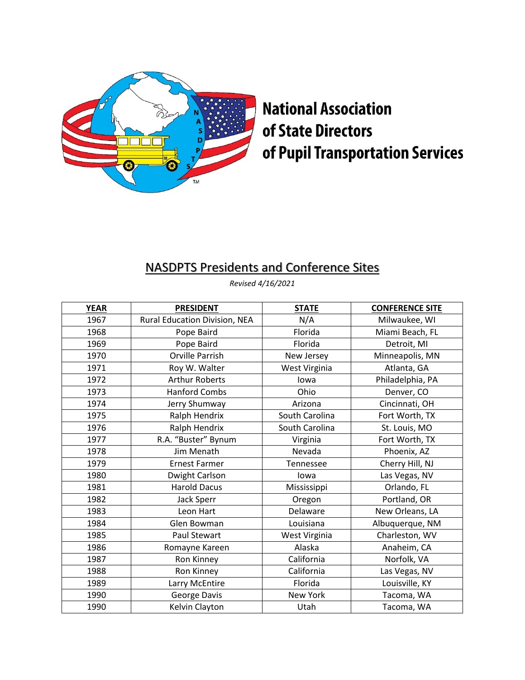

## **National Association** of State Directors of Pupil Transportation Services

## NASDPTS Presidents and Conference Sites

*Revised 4/16/2021*

| <b>YEAR</b> | <b>PRESIDENT</b>              | <b>STATE</b>   | <b>CONFERENCE SITE</b> |
|-------------|-------------------------------|----------------|------------------------|
| 1967        | Rural Education Division, NEA | N/A            | Milwaukee, WI          |
| 1968        | Pope Baird                    | Florida        | Miami Beach, FL        |
| 1969        | Pope Baird                    | Florida        | Detroit, MI            |
| 1970        | <b>Orville Parrish</b>        | New Jersey     | Minneapolis, MN        |
| 1971        | Roy W. Walter                 | West Virginia  | Atlanta, GA            |
| 1972        | <b>Arthur Roberts</b>         | lowa           | Philadelphia, PA       |
| 1973        | <b>Hanford Combs</b>          | Ohio           | Denver, CO             |
| 1974        | Jerry Shumway                 | Arizona        | Cincinnati, OH         |
| 1975        | Ralph Hendrix                 | South Carolina | Fort Worth, TX         |
| 1976        | Ralph Hendrix                 | South Carolina | St. Louis, MO          |
| 1977        | R.A. "Buster" Bynum           | Virginia       | Fort Worth, TX         |
| 1978        | Jim Menath                    | Nevada         | Phoenix, AZ            |
| 1979        | <b>Ernest Farmer</b>          | Tennessee      | Cherry Hill, NJ        |
| 1980        | Dwight Carlson                | lowa           | Las Vegas, NV          |
| 1981        | <b>Harold Dacus</b>           | Mississippi    | Orlando, FL            |
| 1982        | Jack Sperr                    | Oregon         | Portland, OR           |
| 1983        | Leon Hart                     | Delaware       | New Orleans, LA        |
| 1984        | Glen Bowman                   | Louisiana      | Albuquerque, NM        |
| 1985        | <b>Paul Stewart</b>           | West Virginia  | Charleston, WV         |
| 1986        | Romayne Kareen                | Alaska         | Anaheim, CA            |
| 1987        | Ron Kinney                    | California     | Norfolk, VA            |
| 1988        | Ron Kinney                    | California     | Las Vegas, NV          |
| 1989        | Larry McEntire                | Florida        | Louisville, KY         |
| 1990        | George Davis                  | New York       | Tacoma, WA             |
| 1990        | Kelvin Clayton                | Utah           | Tacoma, WA             |